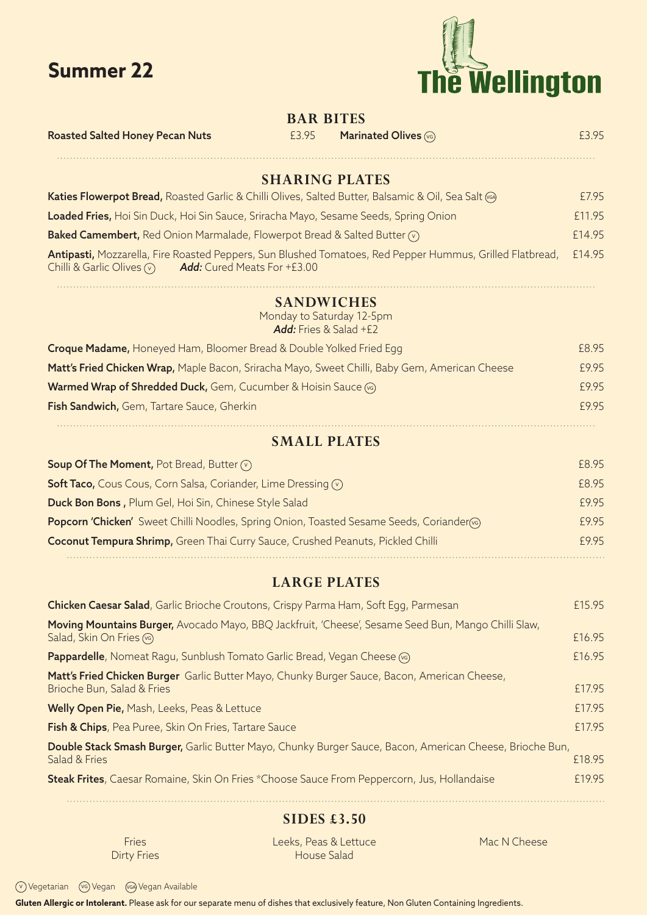



| <b>BAR BITES</b>                                                                                  |                                                                          |                                                                                                          |        |  |  |
|---------------------------------------------------------------------------------------------------|--------------------------------------------------------------------------|----------------------------------------------------------------------------------------------------------|--------|--|--|
| <b>Roasted Salted Honey Pecan Nuts</b>                                                            | £3.95                                                                    | Marinated Olives (vG)                                                                                    | £3.95  |  |  |
|                                                                                                   |                                                                          | <b>SHARING PLATES</b>                                                                                    |        |  |  |
| Katies Flowerpot Bread, Roasted Garlic & Chilli Olives, Salted Butter, Balsamic & Oil, Sea Salt @ |                                                                          |                                                                                                          | £7.95  |  |  |
| Loaded Fries, Hoi Sin Duck, Hoi Sin Sauce, Sriracha Mayo, Sesame Seeds, Spring Onion              |                                                                          |                                                                                                          | £11.95 |  |  |
| Baked Camembert, Red Onion Marmalade, Flowerpot Bread & Salted Butter (v)                         |                                                                          |                                                                                                          | £14.95 |  |  |
| Chilli & Garlic Olives $\circledcirc$<br><b>Add:</b> Cured Meats For +£3.00                       |                                                                          | Antipasti, Mozzarella, Fire Roasted Peppers, Sun Blushed Tomatoes, Red Pepper Hummus, Grilled Flatbread, | £14.95 |  |  |
|                                                                                                   | <b>SANDWICHES</b><br>Monday to Saturday 12-5pm<br>Add: Fries & Salad +£2 |                                                                                                          |        |  |  |
| Croque Madame, Honeyed Ham, Bloomer Bread & Double Yolked Fried Egg                               |                                                                          |                                                                                                          | £8.95  |  |  |
| Matt's Fried Chicken Wrap, Maple Bacon, Sriracha Mayo, Sweet Chilli, Baby Gem, American Cheese    |                                                                          |                                                                                                          | £9.95  |  |  |
| Warmed Wrap of Shredded Duck, Gem, Cucumber & Hoisin Sauce (S)                                    |                                                                          |                                                                                                          | £9.95  |  |  |
| Fish Sandwich, Gem, Tartare Sauce, Gherkin                                                        |                                                                          |                                                                                                          | £9.95  |  |  |
|                                                                                                   | <b>SMALL PLATES</b>                                                      |                                                                                                          |        |  |  |
| Soup Of The Moment, Pot Bread, Butter $\circledcirc$                                              |                                                                          |                                                                                                          | £8.95  |  |  |
| <b>Soft Taco,</b> Cous Cous, Corn Salsa, Coriander, Lime Dressing $\sqrt{v}$                      |                                                                          |                                                                                                          | £8.95  |  |  |
| Duck Bon Bons, Plum Gel, Hoi Sin, Chinese Style Salad                                             |                                                                          | £9.95                                                                                                    |        |  |  |
| Popcorn 'Chicken' Sweet Chilli Noodles, Spring Onion, Toasted Sesame Seeds, Coriander             |                                                                          |                                                                                                          | £9.95  |  |  |
| Coconut Tempura Shrimp, Green Thai Curry Sauce, Crushed Peanuts, Pickled Chilli                   |                                                                          |                                                                                                          | £9.95  |  |  |
|                                                                                                   | <b>LARGE PLATES</b>                                                      |                                                                                                          |        |  |  |
| $\sim$ $\sim$ $\sim$ $\sim$ $\sim$ $\sim$ $\sim$ $\sim$                                           |                                                                          |                                                                                                          | C1F    |  |  |

| <b>Chicken Caesar Salad,</b> Garlic Brioche Croutons, Crispy Parma Ham, Soft Egg, Parmesan                                          | £15.95 |  |
|-------------------------------------------------------------------------------------------------------------------------------------|--------|--|
| Moving Mountains Burger, Avocado Mayo, BBQ Jackfruit, 'Cheese', Sesame Seed Bun, Mango Chilli Slaw,<br>Salad, Skin On Fries (vg)    | £16.95 |  |
| <b>Pappardelle</b> , Nomeat Ragu, Sunblush Tomato Garlic Bread, Vegan Cheese (6)                                                    | £16.95 |  |
| Matt's Fried Chicken Burger Garlic Butter Mayo, Chunky Burger Sauce, Bacon, American Cheese,<br>Brioche Bun, Salad & Fries          | £17.95 |  |
| Welly Open Pie, Mash, Leeks, Peas & Lettuce                                                                                         | £17.95 |  |
| Fish & Chips, Pea Puree, Skin On Fries, Tartare Sauce                                                                               | £17.95 |  |
| Double Stack Smash Burger, Garlic Butter Mayo, Chunky Burger Sauce, Bacon, American Cheese, Brioche Bun,<br>£18.95<br>Salad & Fries |        |  |
| Steak Frites, Caesar Romaine, Skin On Fries *Choose Sauce From Peppercorn, Jus, Hollandaise                                         | £19.95 |  |
|                                                                                                                                     |        |  |

## **SIDES £3.50**

Fries Dirty Fries Leeks, Peas & Lettuce House Salad

Mac N Cheese

<sup>V</sup> Vegetarian VG Vegan VGA Vegan Available

**Gluten Allergic or Intolerant.** Please ask for our separate menu of dishes that exclusively feature, Non Gluten Containing Ingredients.